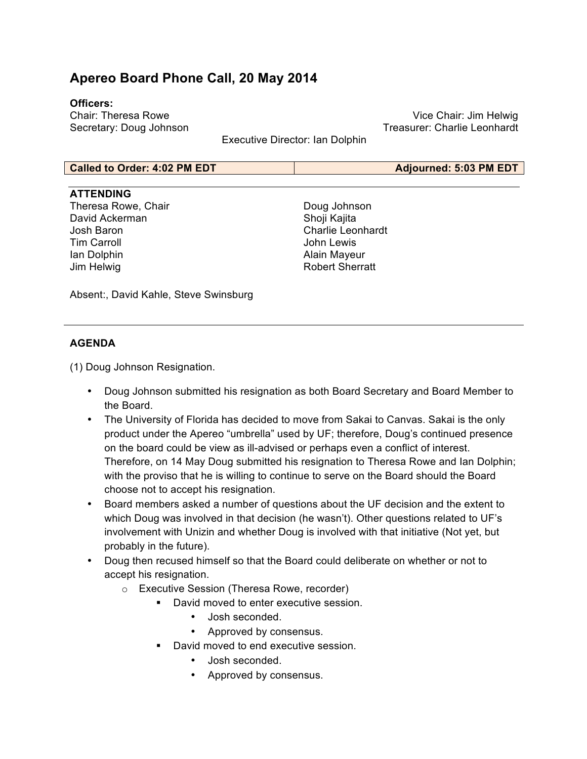# **Apereo Board Phone Call, 20 May 2014**

## **Officers:**

Chair: Theresa Rowe Secretary: Doug Johnson

Vice Chair: Jim Helwig Treasurer: Charlie Leonhardt

Executive Director: Ian Dolphin

#### **Called to Order: 4:02 PM EDT Adjourned: 5:03 PM EDT**

### **ATTENDING**

Theresa Rowe, Chair David Ackerman Josh Baron Tim Carroll Ian Dolphin Jim Helwig

Doug Johnson Shoji Kajita Charlie Leonhardt John Lewis Alain Mayeur Robert Sherratt

Absent:, David Kahle, Steve Swinsburg

## **AGENDA**

(1) Doug Johnson Resignation.

- Doug Johnson submitted his resignation as both Board Secretary and Board Member to the Board.
- The University of Florida has decided to move from Sakai to Canvas. Sakai is the only product under the Apereo "umbrella" used by UF; therefore, Doug's continued presence on the board could be view as ill-advised or perhaps even a conflict of interest. Therefore, on 14 May Doug submitted his resignation to Theresa Rowe and Ian Dolphin; with the proviso that he is willing to continue to serve on the Board should the Board choose not to accept his resignation.
- Board members asked a number of questions about the UF decision and the extent to which Doug was involved in that decision (he wasn't). Other questions related to UF's involvement with Unizin and whether Doug is involved with that initiative (Not yet, but probably in the future).
- Doug then recused himself so that the Board could deliberate on whether or not to accept his resignation.
	- o Executive Session (Theresa Rowe, recorder)
		- **David moved to enter executive session.** 
			- Josh seconded.
			- Approved by consensus.
			- David moved to end executive session.
				- Josh seconded.
				- Approved by consensus.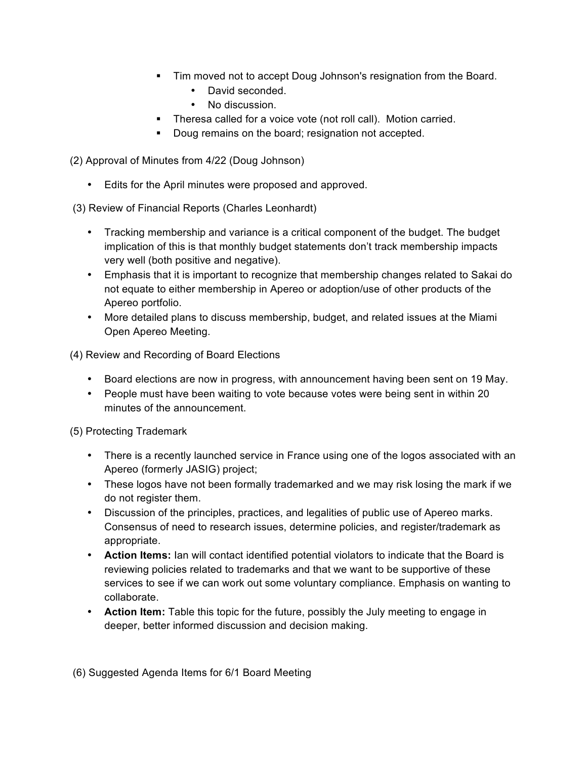- ! Tim moved not to accept Doug Johnson's resignation from the Board.
	- David seconded.
	- No discussion.
- **Theresa called for a voice vote (not roll call). Motion carried.**
- **Doug remains on the board; resignation not accepted.**

(2) Approval of Minutes from 4/22 (Doug Johnson)

• Edits for the April minutes were proposed and approved.

(3) Review of Financial Reports (Charles Leonhardt)

- Tracking membership and variance is a critical component of the budget. The budget implication of this is that monthly budget statements don't track membership impacts very well (both positive and negative).
- Emphasis that it is important to recognize that membership changes related to Sakai do not equate to either membership in Apereo or adoption/use of other products of the Apereo portfolio.
- More detailed plans to discuss membership, budget, and related issues at the Miami Open Apereo Meeting.

(4) Review and Recording of Board Elections

- Board elections are now in progress, with announcement having been sent on 19 May.
- People must have been waiting to vote because votes were being sent in within 20 minutes of the announcement.

(5) Protecting Trademark

- There is a recently launched service in France using one of the logos associated with an Apereo (formerly JASIG) project;
- These logos have not been formally trademarked and we may risk losing the mark if we do not register them.
- Discussion of the principles, practices, and legalities of public use of Apereo marks. Consensus of need to research issues, determine policies, and register/trademark as appropriate.
- **Action Items:** Ian will contact identified potential violators to indicate that the Board is reviewing policies related to trademarks and that we want to be supportive of these services to see if we can work out some voluntary compliance. Emphasis on wanting to collaborate.
- **Action Item:** Table this topic for the future, possibly the July meeting to engage in deeper, better informed discussion and decision making.

(6) Suggested Agenda Items for 6/1 Board Meeting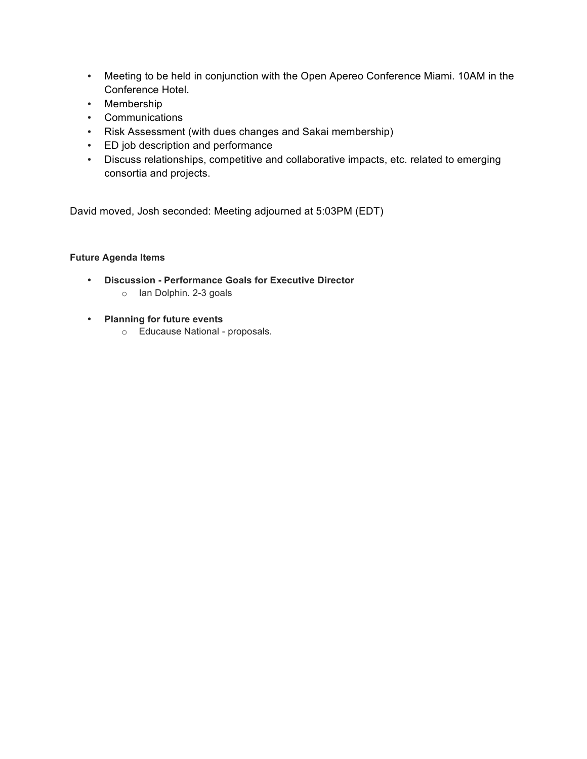- Meeting to be held in conjunction with the Open Apereo Conference Miami. 10AM in the Conference Hotel.
- Membership
- Communications
- Risk Assessment (with dues changes and Sakai membership)
- ED job description and performance
- Discuss relationships, competitive and collaborative impacts, etc. related to emerging consortia and projects.

David moved, Josh seconded: Meeting adjourned at 5:03PM (EDT)

#### **Future Agenda Items**

- **Discussion - Performance Goals for Executive Director** o Ian Dolphin. 2-3 goals
- **Planning for future events**
	- o Educause National proposals.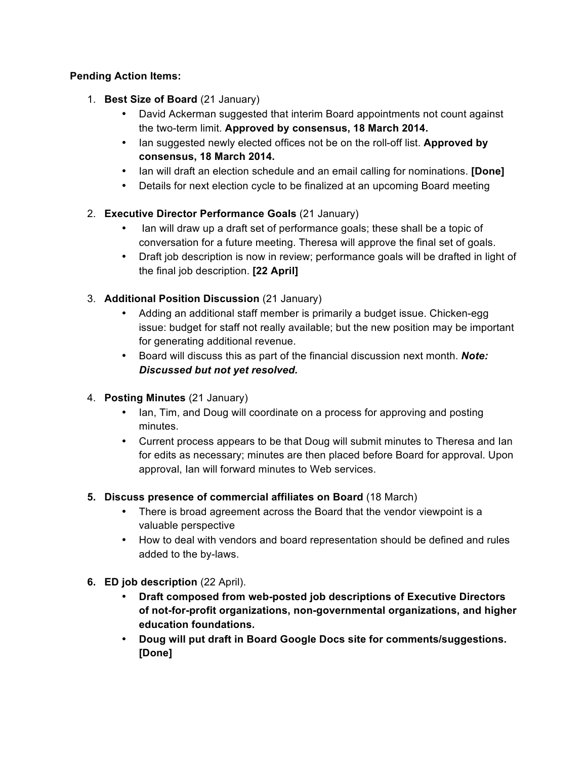# **Pending Action Items:**

- 1. **Best Size of Board** (21 January)
	- David Ackerman suggested that interim Board appointments not count against the two-term limit. **Approved by consensus, 18 March 2014.**
	- Ian suggested newly elected offices not be on the roll-off list. **Approved by consensus, 18 March 2014.**
	- Ian will draft an election schedule and an email calling for nominations. **[Done]**
	- Details for next election cycle to be finalized at an upcoming Board meeting

# 2. **Executive Director Performance Goals** (21 January)

- Ian will draw up a draft set of performance goals; these shall be a topic of conversation for a future meeting. Theresa will approve the final set of goals.
- Draft job description is now in review; performance goals will be drafted in light of the final job description. **[22 April]**
- 3. **Additional Position Discussion** (21 January)
	- Adding an additional staff member is primarily a budget issue. Chicken-egg issue: budget for staff not really available; but the new position may be important for generating additional revenue.
	- Board will discuss this as part of the financial discussion next month. *Note: Discussed but not yet resolved.*
- 4. **Posting Minutes** (21 January)
	- Ian, Tim, and Doug will coordinate on a process for approving and posting minutes.
	- Current process appears to be that Doug will submit minutes to Theresa and Ian for edits as necessary; minutes are then placed before Board for approval. Upon approval, Ian will forward minutes to Web services.

# **5. Discuss presence of commercial affiliates on Board** (18 March)

- There is broad agreement across the Board that the vendor viewpoint is a valuable perspective
- How to deal with vendors and board representation should be defined and rules added to the by-laws.
- **6. ED job description** (22 April).
	- **Draft composed from web-posted job descriptions of Executive Directors of not-for-profit organizations, non-governmental organizations, and higher education foundations.**
	- **Doug will put draft in Board Google Docs site for comments/suggestions. [Done]**